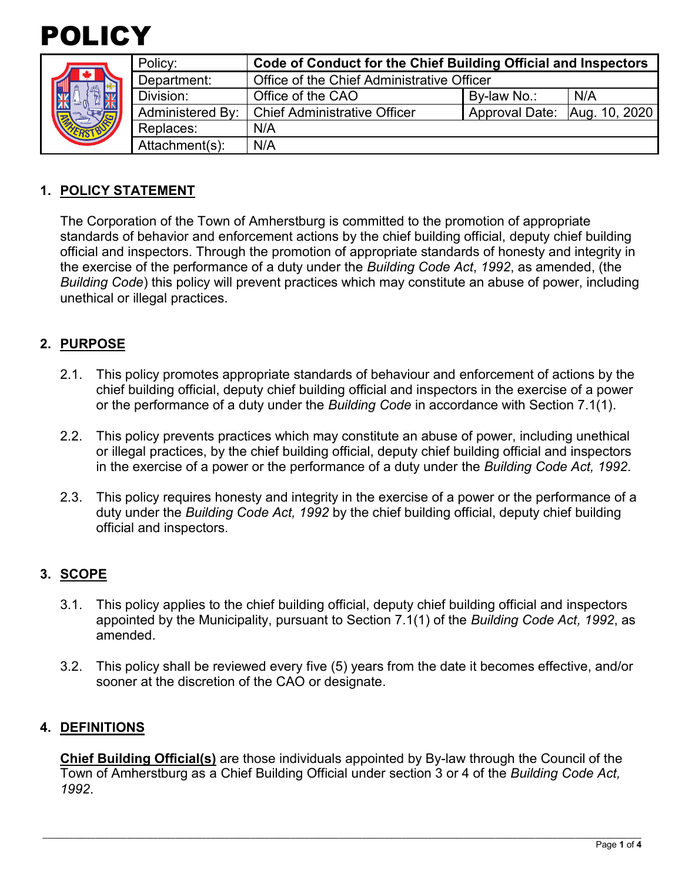

|  | Policy:          | Code of Conduct for the Chief Building Official and Inspectors |                              |     |
|--|------------------|----------------------------------------------------------------|------------------------------|-----|
|  | Department:      | Office of the Chief Administrative Officer                     |                              |     |
|  | Division:        | Office of the CAO                                              | By-law No.:                  | N/A |
|  | Administered By: | <b>Chief Administrative Officer</b>                            | Approval Date: Aug. 10, 2020 |     |
|  | Replaces:        | N/A                                                            |                              |     |
|  | Attachment(s):   | N/A                                                            |                              |     |

### **1. POLICY STATEMENT**

 standards of behavior and enforcement actions by the chief building official, deputy chief building the exercise of the performance of a duty under the *Building Code Act*, *1992*, as amended, (the *Building Code*) this policy will prevent practices which may constitute an abuse of power, including The Corporation of the Town of Amherstburg is committed to the promotion of appropriate official and inspectors. Through the promotion of appropriate standards of honesty and integrity in unethical or illegal practices.

### **2. PURPOSE**

- chief building official, deputy chief building official and inspectors in the exercise of a power or the performance of a duty under the *Building Code* in accordance with Section 7.1(1). 2.1. This policy promotes appropriate standards of behaviour and enforcement of actions by the
- 2.2. This policy prevents practices which may constitute an abuse of power, including unethical or illegal practices, by the chief building official, deputy chief building official and inspectors in the exercise of a power or the performance of a duty under the *Building Code Act, 1992*.
- 2.3. This policy requires honesty and integrity in the exercise of a power or the performance of a duty under the *Building Code Act, 1992* by the chief building official, deputy chief building official and inspectors.

#### **3. SCOPE**

- 3.1. This policy applies to the chief building official, deputy chief building official and inspectors appointed by the Municipality, pursuant to Section 7.1(1) of the *Building Code Act, 1992*, as amended.
- sooner at the discretion of the CAO or designate. 3.2. This policy shall be reviewed every five (5) years from the date it becomes effective, and/or

#### **4. DEFINITIONS**

**Chief Building Official(s)** are those individuals appointed by By-law through the Council of the Town of Amherstburg as a Chief Building Official under section 3 or 4 of the *Building Code Act, 1992*.

\_\_\_\_\_\_\_\_\_\_\_\_\_\_\_\_\_\_\_\_\_\_\_\_\_\_\_\_\_\_\_\_\_\_\_\_\_\_\_\_\_\_\_\_\_\_\_\_\_\_\_\_\_\_\_\_\_\_\_\_\_\_\_\_\_\_\_\_\_\_\_\_\_\_\_\_\_\_\_\_\_\_\_\_\_\_\_\_\_\_\_\_\_\_\_\_\_\_\_\_\_\_\_\_\_\_\_\_\_\_\_\_\_\_\_\_\_\_\_\_\_\_\_\_\_\_\_\_\_\_\_\_\_\_\_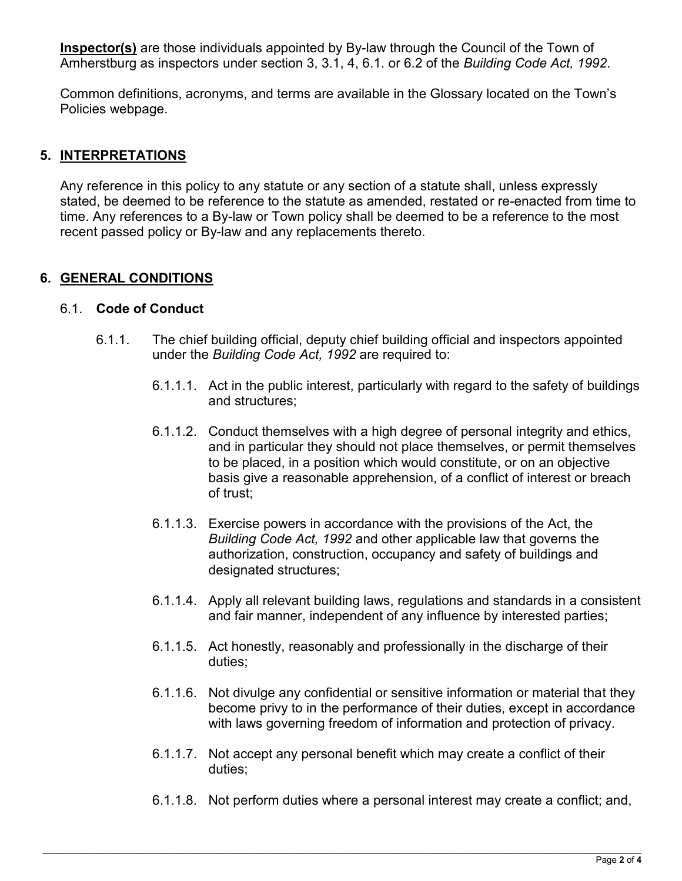**Inspector(s)** are those individuals appointed by By-law through the Council of the Town of Amherstburg as inspectors under section 3, 3.1, 4, 6.1. or 6.2 of the *Building Code Act, 1992*.

Common definitions, acronyms, and terms are available in the Glossary located on the Town's Policies webpage.

# **5. INTERPRETATIONS**

 Any reference in this policy to any statute or any section of a statute shall, unless expressly time. Any references to a By-law or Town policy shall be deemed to be a reference to the most stated, be deemed to be reference to the statute as amended, restated or re-enacted from time to recent passed policy or By-law and any replacements thereto.

# **6. GENERAL CONDITIONS**

### 6.1. **Code of Conduct**

- 6.1.1. The chief building official, deputy chief building official and inspectors appointed under the *Building Code Act, 1992* are required to:
	- 6.1.1.1. Act in the public interest, particularly with regard to the safety of buildings and structures;
	- 6.1.1.2. Conduct themselves with a high degree of personal integrity and ethics, and in particular they should not place themselves, or permit themselves to be placed, in a position which would constitute, or on an objective basis give a reasonable apprehension, of a conflict of interest or breach of trust;
	- 6.1.1.3. Exercise powers in accordance with the provisions of the Act, the *Building Code Act, 1992* and other applicable law that governs the authorization, construction, occupancy and safety of buildings and designated structures;
	- 6.1.1.4. Apply all relevant building laws, regulations and standards in a consistent and fair manner, independent of any influence by interested parties;
	- 6.1.1.5. Act honestly, reasonably and professionally in the discharge of their duties;
	- with laws governing freedom of information and protection of privacy. 6.1.1.6. Not divulge any confidential or sensitive information or material that they become privy to in the performance of their duties, except in accordance
	- 6.1.1.7. Not accept any personal benefit which may create a conflict of their duties;
	- 6.1.1.8. Not perform duties where a personal interest may create a conflict; and,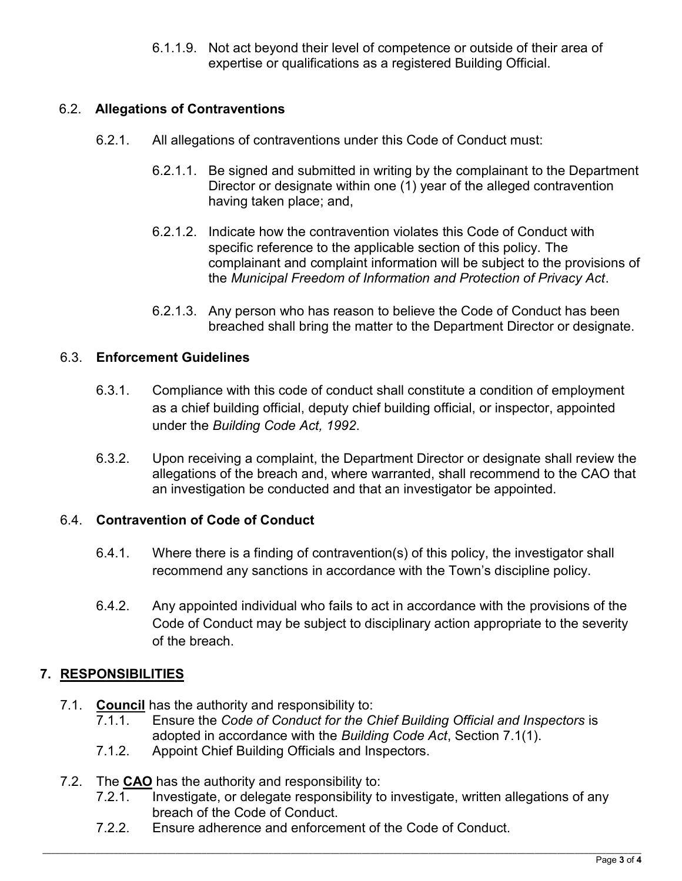6.1.1.9. Not act beyond their level of competence or outside of their area of expertise or qualifications as a registered Building Official.

# 6.2. **Allegations of Contraventions**

- 6.2.1. All allegations of contraventions under this Code of Conduct must:
	- 6.2.1.1. Be signed and submitted in writing by the complainant to the Department Director or designate within one (1) year of the alleged contravention having taken place; and,
	- 6.2.1.2. Indicate how the contravention violates this Code of Conduct with specific reference to the applicable section of this policy. The complainant and complaint information will be subject to the provisions of the *Municipal Freedom of Information and Protection of Privacy Act*.
	- 6.2.1.3. Any person who has reason to believe the Code of Conduct has been breached shall bring the matter to the Department Director or designate.

## 6.3. **Enforcement Guidelines**

- 6.3.1. Compliance with this code of conduct shall constitute a condition of employment as a chief building official, deputy chief building official, or inspector, appointed under the *Building Code Act, 1992*.
- 6.3.2. Upon receiving a complaint, the Department Director or designate shall review the allegations of the breach and, where warranted, shall recommend to the CAO that an investigation be conducted and that an investigator be appointed.

## 6.4. **Contravention of Code of Conduct**

- 6.4.1. Where there is a finding of contravention(s) of this policy, the investigator shall recommend any sanctions in accordance with the Town's discipline policy.
- 6.4.2. Any appointed individual who fails to act in accordance with the provisions of the Code of Conduct may be subject to disciplinary action appropriate to the severity of the breach.

# **7. RESPONSIBILITIES**

- 7.1. **Council** has the authority and responsibility to:
	- 7.1.1. Ensure the *Code of Conduct for the Chief Building Official and Inspectors* is adopted in accordance with the *Building Code Act*, Section 7.1(1).
	- 7.1.2. Appoint Chief Building Officials and Inspectors.
- 7.2. The **CAO** has the authority and responsibility to:
	- 7.2.1. Investigate, or delegate responsibility to investigate, written allegations of any breach of the Code of Conduct.
	- 7.2.2. Ensure adherence and enforcement of the Code of Conduct.